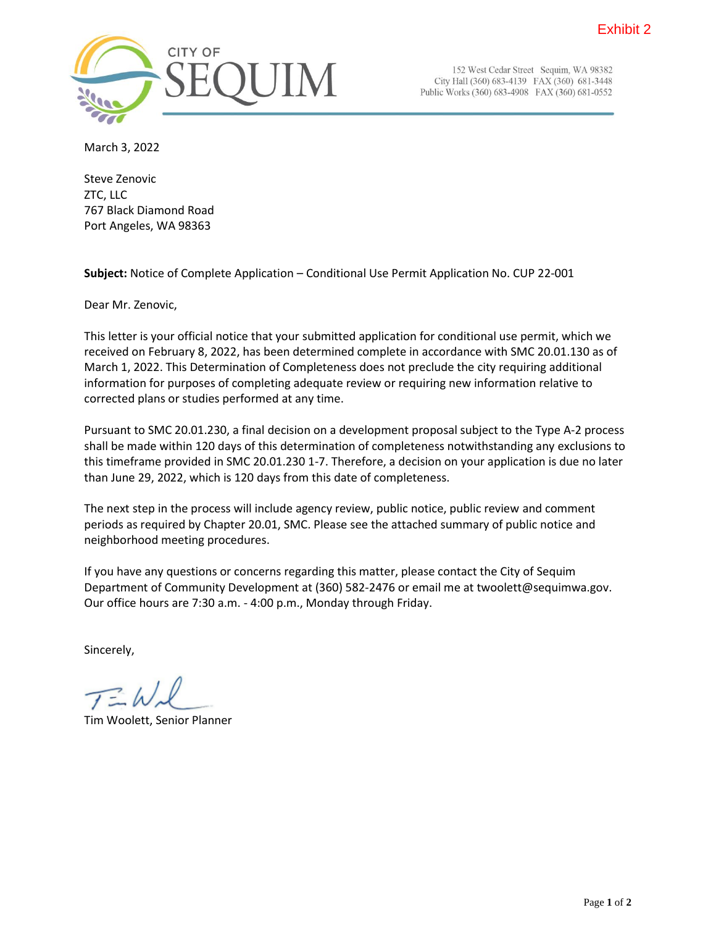

152 West Cedar Street Sequim, WA 98382 City Hall (360) 683-4139 FAX (360) 681-3448 Public Works (360) 683-4908 FAX (360) 681-0552

March 3, 2022

Steve Zenovic ZTC, LLC 767 Black Diamond Road Port Angeles, WA 98363

**Subject:** Notice of Complete Application – Conditional Use Permit Application No. CUP 22-001

Dear Mr. Zenovic,

This letter is your official notice that your submitted application for conditional use permit, which we received on February 8, 2022, has been determined complete in accordance with SMC 20.01.130 as of March 1, 2022. This Determination of Completeness does not preclude the city requiring additional information for purposes of completing adequate review or requiring new information relative to corrected plans or studies performed at any time.

Pursuant to SMC 20.01.230, a final decision on a development proposal subject to the Type A-2 process shall be made within 120 days of this determination of completeness notwithstanding any exclusions to this timeframe provided in SMC 20.01.230 1-7. Therefore, a decision on your application is due no later than June 29, 2022, which is 120 days from this date of completeness.

The next step in the process will include agency review, public notice, public review and comment periods as required by Chapter 20.01, SMC. Please see the attached summary of public notice and neighborhood meeting procedures.

If you have any questions or concerns regarding this matter, please contact the City of Sequim Department of Community Development at (360) 582-2476 or email me at twoolett@sequimwa.gov. Our office hours are 7:30 a.m. - 4:00 p.m., Monday through Friday.

Sincerely,

Tim Woolett, Senior Planner